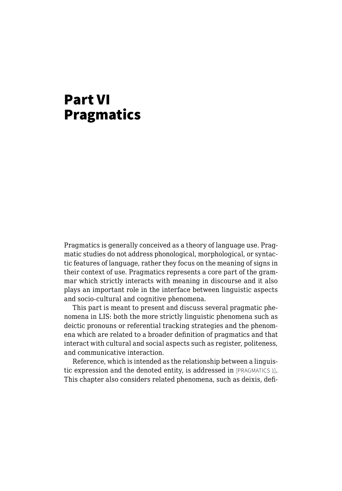## Part VI Pragmatics

Pragmatics is generally conceived as a theory of language use. Pragmatic studies do not address phonological, morphological, or syntactic features of language, rather they focus on the meaning of signs in their context of use. Pragmatics represents a core part of the grammar which strictly interacts with meaning in discourse and it also plays an important role in the interface between linguistic aspects and socio-cultural and cognitive phenomena.

This part is meant to present and discuss several pragmatic phenomena in LIS: both the more strictly linguistic phenomena such as deictic pronouns or referential tracking strategies and the phenomena which are related to a broader definition of pragmatics and that interact with cultural and social aspects such as register, politeness, and communicative interaction.

Reference, which is intended as the relationship between a linguistic expression and the denoted entity, is addressed in [PRAGMATICS 1]. This chapter also considers related phenomena, such as deixis, defi